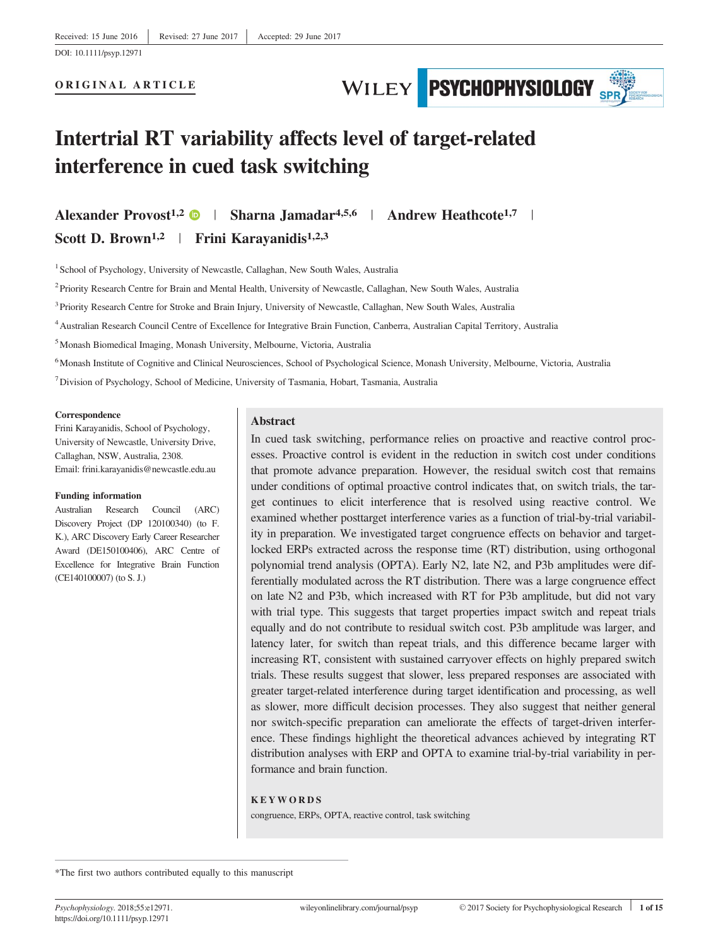### ORIGINAL ARTICLE





# Intertrial RT variability affects level of target-related interference in cued task switching

Alexander Provost<sup>1,2</sup>  $\bullet$  | Sharna Jamadar<sup>4,5,6</sup> | Andrew Heathcote<sup>1,7</sup> | Scott D. Brown<sup>1,2</sup> | Frini Karayanidis<sup>1,2,3</sup>

<sup>1</sup> School of Psychology, University of Newcastle, Callaghan, New South Wales, Australia

<sup>2</sup> Priority Research Centre for Brain and Mental Health, University of Newcastle, Callaghan, New South Wales, Australia

<sup>3</sup> Priority Research Centre for Stroke and Brain Injury, University of Newcastle, Callaghan, New South Wales, Australia

4 Australian Research Council Centre of Excellence for Integrative Brain Function, Canberra, Australian Capital Territory, Australia

5 Monash Biomedical Imaging, Monash University, Melbourne, Victoria, Australia

<sup>6</sup> Monash Institute of Cognitive and Clinical Neurosciences, School of Psychological Science, Monash University, Melbourne, Victoria, Australia

<sup>7</sup> Division of Psychology, School of Medicine, University of Tasmania, Hobart, Tasmania, Australia

#### Correspondence

Frini Karayanidis, School of Psychology, University of Newcastle, University Drive, Callaghan, NSW, Australia, 2308. Email: frini.karayanidis@newcastle.edu.au

#### Funding information

Australian Research Council (ARC) Discovery Project (DP 120100340) (to F. K.), ARC Discovery Early Career Researcher Award (DE150100406), ARC Centre of Excellence for Integrative Brain Function (CE140100007) (to S. J.)

### Abstract

In cued task switching, performance relies on proactive and reactive control processes. Proactive control is evident in the reduction in switch cost under conditions that promote advance preparation. However, the residual switch cost that remains under conditions of optimal proactive control indicates that, on switch trials, the target continues to elicit interference that is resolved using reactive control. We examined whether posttarget interference varies as a function of trial-by-trial variability in preparation. We investigated target congruence effects on behavior and targetlocked ERPs extracted across the response time (RT) distribution, using orthogonal polynomial trend analysis (OPTA). Early N2, late N2, and P3b amplitudes were differentially modulated across the RT distribution. There was a large congruence effect on late N2 and P3b, which increased with RT for P3b amplitude, but did not vary with trial type. This suggests that target properties impact switch and repeat trials equally and do not contribute to residual switch cost. P3b amplitude was larger, and latency later, for switch than repeat trials, and this difference became larger with increasing RT, consistent with sustained carryover effects on highly prepared switch trials. These results suggest that slower, less prepared responses are associated with greater target-related interference during target identification and processing, as well as slower, more difficult decision processes. They also suggest that neither general nor switch-specific preparation can ameliorate the effects of target-driven interference. These findings highlight the theoretical advances achieved by integrating RT distribution analyses with ERP and OPTA to examine trial-by-trial variability in performance and brain function.

### **KEYWORDS**

congruence, ERPs, OPTA, reactive control, task switching

\*The first two authors contributed equally to this manuscript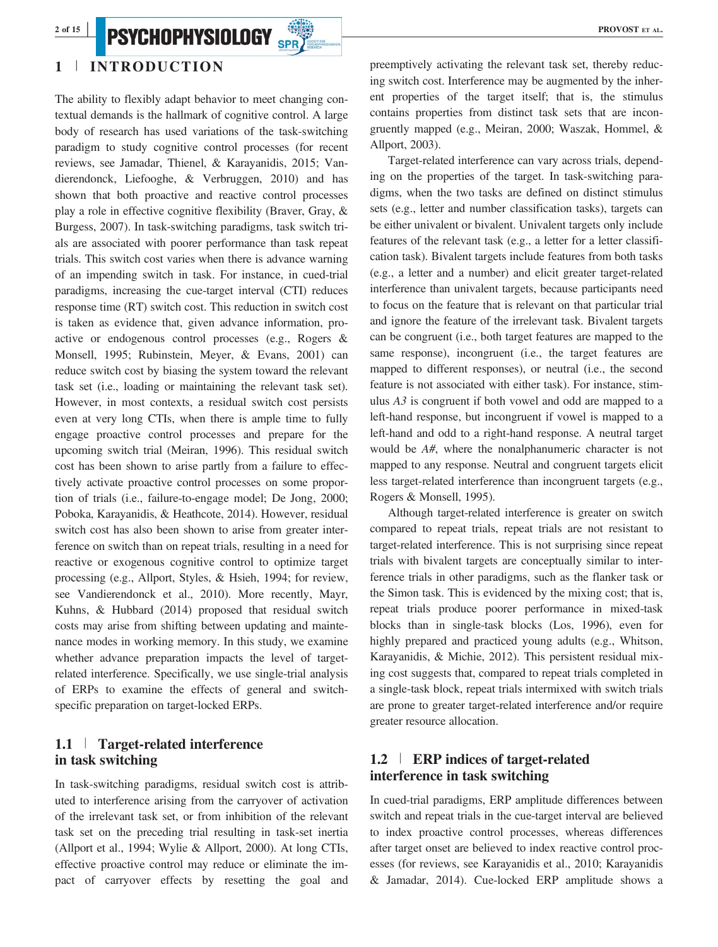# **PSYCHOPHYSIOLOGY SPR**

## 1 <sup>|</sup> INTRODUCTION

The ability to flexibly adapt behavior to meet changing contextual demands is the hallmark of cognitive control. A large body of research has used variations of the task-switching paradigm to study cognitive control processes (for recent reviews, see Jamadar, Thienel, & Karayanidis, 2015; Vandierendonck, Liefooghe, & Verbruggen, 2010) and has shown that both proactive and reactive control processes play a role in effective cognitive flexibility (Braver, Gray, & Burgess, 2007). In task-switching paradigms, task switch trials are associated with poorer performance than task repeat trials. This switch cost varies when there is advance warning of an impending switch in task. For instance, in cued-trial paradigms, increasing the cue-target interval (CTI) reduces response time (RT) switch cost. This reduction in switch cost is taken as evidence that, given advance information, proactive or endogenous control processes (e.g., Rogers & Monsell, 1995; Rubinstein, Meyer, & Evans, 2001) can reduce switch cost by biasing the system toward the relevant task set (i.e., loading or maintaining the relevant task set). However, in most contexts, a residual switch cost persists even at very long CTIs, when there is ample time to fully engage proactive control processes and prepare for the upcoming switch trial (Meiran, 1996). This residual switch cost has been shown to arise partly from a failure to effectively activate proactive control processes on some proportion of trials (i.e., failure-to-engage model; De Jong, 2000; Poboka, Karayanidis, & Heathcote, 2014). However, residual switch cost has also been shown to arise from greater interference on switch than on repeat trials, resulting in a need for reactive or exogenous cognitive control to optimize target processing (e.g., Allport, Styles, & Hsieh, 1994; for review, see Vandierendonck et al., 2010). More recently, Mayr, Kuhns, & Hubbard (2014) proposed that residual switch costs may arise from shifting between updating and maintenance modes in working memory. In this study, we examine whether advance preparation impacts the level of targetrelated interference. Specifically, we use single-trial analysis of ERPs to examine the effects of general and switchspecific preparation on target-locked ERPs.

## 1.1 <sup>|</sup> Target-related interference in task switching

In task-switching paradigms, residual switch cost is attributed to interference arising from the carryover of activation of the irrelevant task set, or from inhibition of the relevant task set on the preceding trial resulting in task-set inertia (Allport et al., 1994; Wylie & Allport, 2000). At long CTIs, effective proactive control may reduce or eliminate the impact of carryover effects by resetting the goal and

preemptively activating the relevant task set, thereby reducing switch cost. Interference may be augmented by the inherent properties of the target itself; that is, the stimulus contains properties from distinct task sets that are incongruently mapped (e.g., Meiran, 2000; Waszak, Hommel, & Allport, 2003).

Target-related interference can vary across trials, depending on the properties of the target. In task-switching paradigms, when the two tasks are defined on distinct stimulus sets (e.g., letter and number classification tasks), targets can be either univalent or bivalent. Univalent targets only include features of the relevant task (e.g., a letter for a letter classification task). Bivalent targets include features from both tasks (e.g., a letter and a number) and elicit greater target-related interference than univalent targets, because participants need to focus on the feature that is relevant on that particular trial and ignore the feature of the irrelevant task. Bivalent targets can be congruent (i.e., both target features are mapped to the same response), incongruent (i.e., the target features are mapped to different responses), or neutral (i.e., the second feature is not associated with either task). For instance, stimulus A3 is congruent if both vowel and odd are mapped to a left-hand response, but incongruent if vowel is mapped to a left-hand and odd to a right-hand response. A neutral target would be A#, where the nonalphanumeric character is not mapped to any response. Neutral and congruent targets elicit less target-related interference than incongruent targets (e.g., Rogers & Monsell, 1995).

Although target-related interference is greater on switch compared to repeat trials, repeat trials are not resistant to target-related interference. This is not surprising since repeat trials with bivalent targets are conceptually similar to interference trials in other paradigms, such as the flanker task or the Simon task. This is evidenced by the mixing cost; that is, repeat trials produce poorer performance in mixed-task blocks than in single-task blocks (Los, 1996), even for highly prepared and practiced young adults (e.g., Whitson, Karayanidis, & Michie, 2012). This persistent residual mixing cost suggests that, compared to repeat trials completed in a single-task block, repeat trials intermixed with switch trials are prone to greater target-related interference and/or require greater resource allocation.

## 1.2 <sup>|</sup> ERP indices of target-related interference in task switching

In cued-trial paradigms, ERP amplitude differences between switch and repeat trials in the cue-target interval are believed to index proactive control processes, whereas differences after target onset are believed to index reactive control processes (for reviews, see Karayanidis et al., 2010; Karayanidis & Jamadar, 2014). Cue-locked ERP amplitude shows a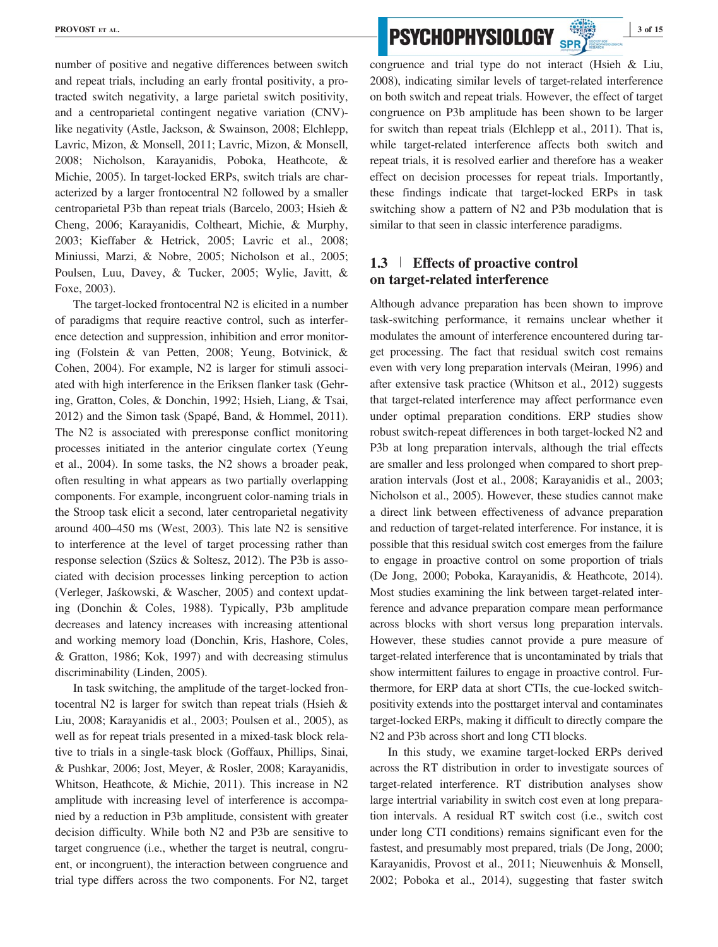number of positive and negative differences between switch and repeat trials, including an early frontal positivity, a protracted switch negativity, a large parietal switch positivity, and a centroparietal contingent negative variation (CNV) like negativity (Astle, Jackson, & Swainson, 2008; Elchlepp, Lavric, Mizon, & Monsell, 2011; Lavric, Mizon, & Monsell, 2008; Nicholson, Karayanidis, Poboka, Heathcote, & Michie, 2005). In target-locked ERPs, switch trials are characterized by a larger frontocentral N2 followed by a smaller centroparietal P3b than repeat trials (Barcelo, 2003; Hsieh & Cheng, 2006; Karayanidis, Coltheart, Michie, & Murphy, 2003; Kieffaber & Hetrick, 2005; Lavric et al., 2008; Miniussi, Marzi, & Nobre, 2005; Nicholson et al., 2005; Poulsen, Luu, Davey, & Tucker, 2005; Wylie, Javitt, & Foxe, 2003).

The target-locked frontocentral N2 is elicited in a number of paradigms that require reactive control, such as interference detection and suppression, inhibition and error monitoring (Folstein & van Petten, 2008; Yeung, Botvinick, & Cohen, 2004). For example, N2 is larger for stimuli associated with high interference in the Eriksen flanker task (Gehring, Gratton, Coles, & Donchin, 1992; Hsieh, Liang, & Tsai, 2012) and the Simon task (Spapé, Band, & Hommel, 2011). The N2 is associated with preresponse conflict monitoring processes initiated in the anterior cingulate cortex (Yeung et al., 2004). In some tasks, the N2 shows a broader peak, often resulting in what appears as two partially overlapping components. For example, incongruent color-naming trials in the Stroop task elicit a second, later centroparietal negativity around 400–450 ms (West, 2003). This late N2 is sensitive to interference at the level of target processing rather than response selection (Szücs & Soltesz, 2012). The P3b is associated with decision processes linking perception to action (Verleger, Jaskowski, & Wascher, 2005) and context updating (Donchin & Coles, 1988). Typically, P3b amplitude decreases and latency increases with increasing attentional and working memory load (Donchin, Kris, Hashore, Coles, & Gratton, 1986; Kok, 1997) and with decreasing stimulus discriminability (Linden, 2005).

In task switching, the amplitude of the target-locked frontocentral N2 is larger for switch than repeat trials (Hsieh & Liu, 2008; Karayanidis et al., 2003; Poulsen et al., 2005), as well as for repeat trials presented in a mixed-task block relative to trials in a single-task block (Goffaux, Phillips, Sinai, & Pushkar, 2006; Jost, Meyer, & Rosler, 2008; Karayanidis, Whitson, Heathcote, & Michie, 2011). This increase in N2 amplitude with increasing level of interference is accompanied by a reduction in P3b amplitude, consistent with greater decision difficulty. While both N2 and P3b are sensitive to target congruence (i.e., whether the target is neutral, congruent, or incongruent), the interaction between congruence and trial type differs across the two components. For N2, target

 $P}{S}$ **PSYCHOPHYSIOLOGY**  $_{SPR}$  3 of 15

congruence and trial type do not interact (Hsieh & Liu, 2008), indicating similar levels of target-related interference on both switch and repeat trials. However, the effect of target congruence on P3b amplitude has been shown to be larger for switch than repeat trials (Elchlepp et al., 2011). That is, while target-related interference affects both switch and repeat trials, it is resolved earlier and therefore has a weaker effect on decision processes for repeat trials. Importantly, these findings indicate that target-locked ERPs in task switching show a pattern of N2 and P3b modulation that is similar to that seen in classic interference paradigms.

## 1.3 <sup>|</sup> Effects of proactive control on target-related interference

Although advance preparation has been shown to improve task-switching performance, it remains unclear whether it modulates the amount of interference encountered during target processing. The fact that residual switch cost remains even with very long preparation intervals (Meiran, 1996) and after extensive task practice (Whitson et al., 2012) suggests that target-related interference may affect performance even under optimal preparation conditions. ERP studies show robust switch-repeat differences in both target-locked N2 and P3b at long preparation intervals, although the trial effects are smaller and less prolonged when compared to short preparation intervals (Jost et al., 2008; Karayanidis et al., 2003; Nicholson et al., 2005). However, these studies cannot make a direct link between effectiveness of advance preparation and reduction of target-related interference. For instance, it is possible that this residual switch cost emerges from the failure to engage in proactive control on some proportion of trials (De Jong, 2000; Poboka, Karayanidis, & Heathcote, 2014). Most studies examining the link between target-related interference and advance preparation compare mean performance across blocks with short versus long preparation intervals. However, these studies cannot provide a pure measure of target-related interference that is uncontaminated by trials that show intermittent failures to engage in proactive control. Furthermore, for ERP data at short CTIs, the cue-locked switchpositivity extends into the posttarget interval and contaminates target-locked ERPs, making it difficult to directly compare the N2 and P3b across short and long CTI blocks.

In this study, we examine target-locked ERPs derived across the RT distribution in order to investigate sources of target-related interference. RT distribution analyses show large intertrial variability in switch cost even at long preparation intervals. A residual RT switch cost (i.e., switch cost under long CTI conditions) remains significant even for the fastest, and presumably most prepared, trials (De Jong, 2000; Karayanidis, Provost et al., 2011; Nieuwenhuis & Monsell, 2002; Poboka et al., 2014), suggesting that faster switch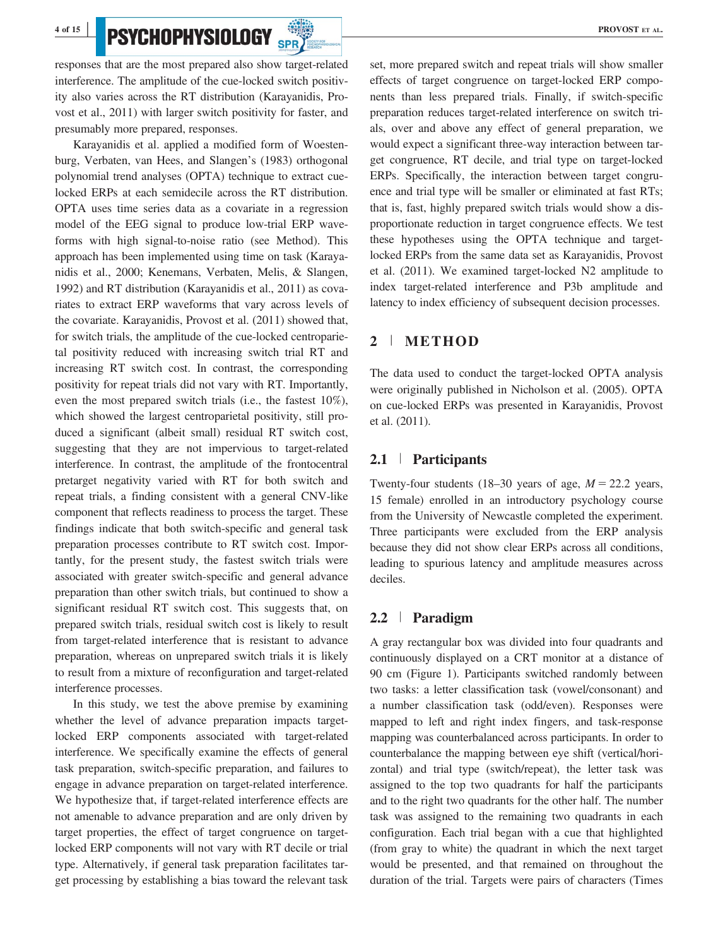# **PSYCHOPHYSIOLOGY** SPR)

responses that are the most prepared also show target-related interference. The amplitude of the cue-locked switch positivity also varies across the RT distribution (Karayanidis, Provost et al., 2011) with larger switch positivity for faster, and presumably more prepared, responses.

Karayanidis et al. applied a modified form of Woestenburg, Verbaten, van Hees, and Slangen's (1983) orthogonal polynomial trend analyses (OPTA) technique to extract cuelocked ERPs at each semidecile across the RT distribution. OPTA uses time series data as a covariate in a regression model of the EEG signal to produce low-trial ERP waveforms with high signal-to-noise ratio (see Method). This approach has been implemented using time on task (Karayanidis et al., 2000; Kenemans, Verbaten, Melis, & Slangen, 1992) and RT distribution (Karayanidis et al., 2011) as covariates to extract ERP waveforms that vary across levels of the covariate. Karayanidis, Provost et al. (2011) showed that, for switch trials, the amplitude of the cue-locked centroparietal positivity reduced with increasing switch trial RT and increasing RT switch cost. In contrast, the corresponding positivity for repeat trials did not vary with RT. Importantly, even the most prepared switch trials (i.e., the fastest 10%), which showed the largest centroparietal positivity, still produced a significant (albeit small) residual RT switch cost, suggesting that they are not impervious to target-related interference. In contrast, the amplitude of the frontocentral pretarget negativity varied with RT for both switch and repeat trials, a finding consistent with a general CNV-like component that reflects readiness to process the target. These findings indicate that both switch-specific and general task preparation processes contribute to RT switch cost. Importantly, for the present study, the fastest switch trials were associated with greater switch-specific and general advance preparation than other switch trials, but continued to show a significant residual RT switch cost. This suggests that, on prepared switch trials, residual switch cost is likely to result from target-related interference that is resistant to advance preparation, whereas on unprepared switch trials it is likely to result from a mixture of reconfiguration and target-related interference processes.

In this study, we test the above premise by examining whether the level of advance preparation impacts targetlocked ERP components associated with target-related interference. We specifically examine the effects of general task preparation, switch-specific preparation, and failures to engage in advance preparation on target-related interference. We hypothesize that, if target-related interference effects are not amenable to advance preparation and are only driven by target properties, the effect of target congruence on targetlocked ERP components will not vary with RT decile or trial type. Alternatively, if general task preparation facilitates target processing by establishing a bias toward the relevant task

set, more prepared switch and repeat trials will show smaller effects of target congruence on target-locked ERP components than less prepared trials. Finally, if switch-specific preparation reduces target-related interference on switch trials, over and above any effect of general preparation, we would expect a significant three-way interaction between target congruence, RT decile, and trial type on target-locked ERPs. Specifically, the interaction between target congruence and trial type will be smaller or eliminated at fast RTs; that is, fast, highly prepared switch trials would show a disproportionate reduction in target congruence effects. We test these hypotheses using the OPTA technique and targetlocked ERPs from the same data set as Karayanidis, Provost et al. (2011). We examined target-locked N2 amplitude to index target-related interference and P3b amplitude and latency to index efficiency of subsequent decision processes.

### 2 <sup>|</sup> METHOD

The data used to conduct the target-locked OPTA analysis were originally published in Nicholson et al. (2005). OPTA on cue-locked ERPs was presented in Karayanidis, Provost et al. (2011).

### 2.1 <sup>|</sup> Participants

Twenty-four students (18–30 years of age,  $M = 22.2$  years, 15 female) enrolled in an introductory psychology course from the University of Newcastle completed the experiment. Three participants were excluded from the ERP analysis because they did not show clear ERPs across all conditions, leading to spurious latency and amplitude measures across deciles.

### 2.2 <sup>|</sup> Paradigm

A gray rectangular box was divided into four quadrants and continuously displayed on a CRT monitor at a distance of 90 cm (Figure 1). Participants switched randomly between two tasks: a letter classification task (vowel/consonant) and a number classification task (odd/even). Responses were mapped to left and right index fingers, and task-response mapping was counterbalanced across participants. In order to counterbalance the mapping between eye shift (vertical/horizontal) and trial type (switch/repeat), the letter task was assigned to the top two quadrants for half the participants and to the right two quadrants for the other half. The number task was assigned to the remaining two quadrants in each configuration. Each trial began with a cue that highlighted (from gray to white) the quadrant in which the next target would be presented, and that remained on throughout the duration of the trial. Targets were pairs of characters (Times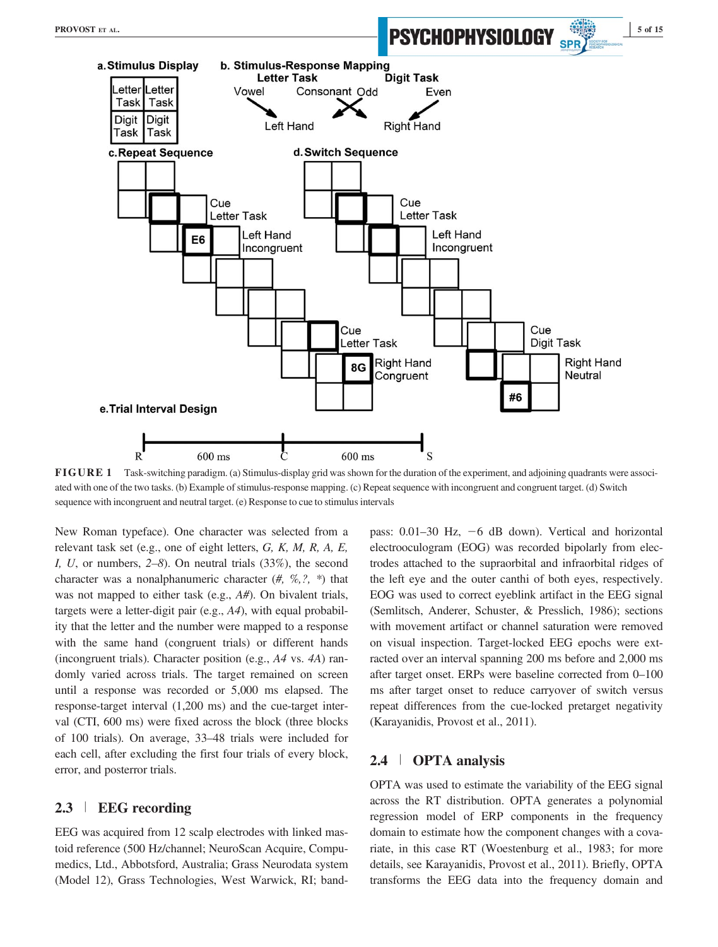

FIGURE 1 Task-switching paradigm. (a) Stimulus-display grid was shown for the duration of the experiment, and adjoining quadrants were associated with one of the two tasks. (b) Example of stimulus-response mapping. (c) Repeat sequence with incongruent and congruent target. (d) Switch sequence with incongruent and neutral target. (e) Response to cue to stimulus intervals

New Roman typeface). One character was selected from a relevant task set (e.g., one of eight letters,  $G, K, M, R, A, E$ , I,  $U$ , or numbers,  $2-8$ ). On neutral trials  $(33\%)$ , the second character was a nonalphanumeric character  $(\#$ ,  $\%$ ,  $?$ ,  $*)$  that was not mapped to either task (e.g.,  $A#$ ). On bivalent trials, targets were a letter-digit pair (e.g., A4), with equal probability that the letter and the number were mapped to a response with the same hand (congruent trials) or different hands (incongruent trials). Character position (e.g., A4 vs. 4A) randomly varied across trials. The target remained on screen until a response was recorded or 5,000 ms elapsed. The response-target interval (1,200 ms) and the cue-target interval (CTI, 600 ms) were fixed across the block (three blocks of 100 trials). On average, 33–48 trials were included for each cell, after excluding the first four trials of every block, error, and posterror trials.

### 2.3 <sup>|</sup> EEG recording

EEG was acquired from 12 scalp electrodes with linked mastoid reference (500 Hz/channel; NeuroScan Acquire, Compumedics, Ltd., Abbotsford, Australia; Grass Neurodata system (Model 12), Grass Technologies, West Warwick, RI; bandpass:  $0.01-30$  Hz,  $-6$  dB down). Vertical and horizontal electrooculogram (EOG) was recorded bipolarly from electrodes attached to the supraorbital and infraorbital ridges of the left eye and the outer canthi of both eyes, respectively. EOG was used to correct eyeblink artifact in the EEG signal (Semlitsch, Anderer, Schuster, & Presslich, 1986); sections with movement artifact or channel saturation were removed on visual inspection. Target-locked EEG epochs were extracted over an interval spanning 200 ms before and 2,000 ms after target onset. ERPs were baseline corrected from 0–100 ms after target onset to reduce carryover of switch versus repeat differences from the cue-locked pretarget negativity (Karayanidis, Provost et al., 2011).

### 2.4 <sup>|</sup> OPTA analysis

OPTA was used to estimate the variability of the EEG signal across the RT distribution. OPTA generates a polynomial regression model of ERP components in the frequency domain to estimate how the component changes with a covariate, in this case RT (Woestenburg et al., 1983; for more details, see Karayanidis, Provost et al., 2011). Briefly, OPTA transforms the EEG data into the frequency domain and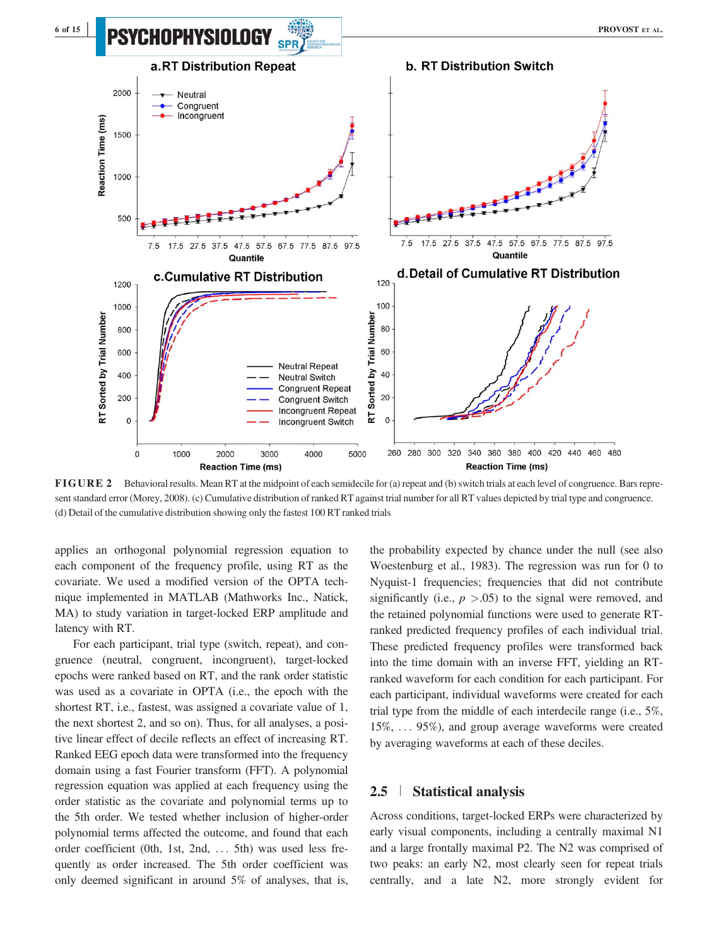

FIGURE 2 Behavioral results. Mean RT at the midpoint of each semidecile for (a) repeat and (b) switch trials at each level of congruence. Bars represent standard error (Morey, 2008). (c) Cumulative distribution of ranked RT against trial number for all RT values depicted by trial type and congruence. (d) Detail of the cumulative distribution showing only the fastest 100 RT ranked trials

applies an orthogonal polynomial regression equation to each component of the frequency profile, using RT as the covariate. We used a modified version of the OPTA technique implemented in MATLAB (Mathworks Inc., Natick, MA) to study variation in target-locked ERP amplitude and latency with RT.

For each participant, trial type (switch, repeat), and congruence (neutral, congruent, incongruent), target-locked epochs were ranked based on RT, and the rank order statistic was used as a covariate in OPTA (i.e., the epoch with the shortest RT, i.e., fastest, was assigned a covariate value of 1, the next shortest 2, and so on). Thus, for all analyses, a positive linear effect of decile reflects an effect of increasing RT. Ranked EEG epoch data were transformed into the frequency domain using a fast Fourier transform (FFT). A polynomial regression equation was applied at each frequency using the order statistic as the covariate and polynomial terms up to the 5th order. We tested whether inclusion of higher-order polynomial terms affected the outcome, and found that each order coefficient (0th, 1st, 2nd, ... 5th) was used less frequently as order increased. The 5th order coefficient was only deemed significant in around 5% of analyses, that is,

the probability expected by chance under the null (see also Woestenburg et al., 1983). The regression was run for 0 to Nyquist-1 frequencies; frequencies that did not contribute significantly (i.e.,  $p > .05$ ) to the signal were removed, and the retained polynomial functions were used to generate RTranked predicted frequency profiles of each individual trial. These predicted frequency profiles were transformed back into the time domain with an inverse FFT, yielding an RTranked waveform for each condition for each participant. For each participant, individual waveforms were created for each trial type from the middle of each interdecile range (i.e., 5%, 15%, ... 95%), and group average waveforms were created by averaging waveforms at each of these deciles.

## 2.5 <sup>|</sup> Statistical analysis

Across conditions, target-locked ERPs were characterized by early visual components, including a centrally maximal N1 and a large frontally maximal P2. The N2 was comprised of two peaks: an early N2, most clearly seen for repeat trials centrally, and a late N2, more strongly evident for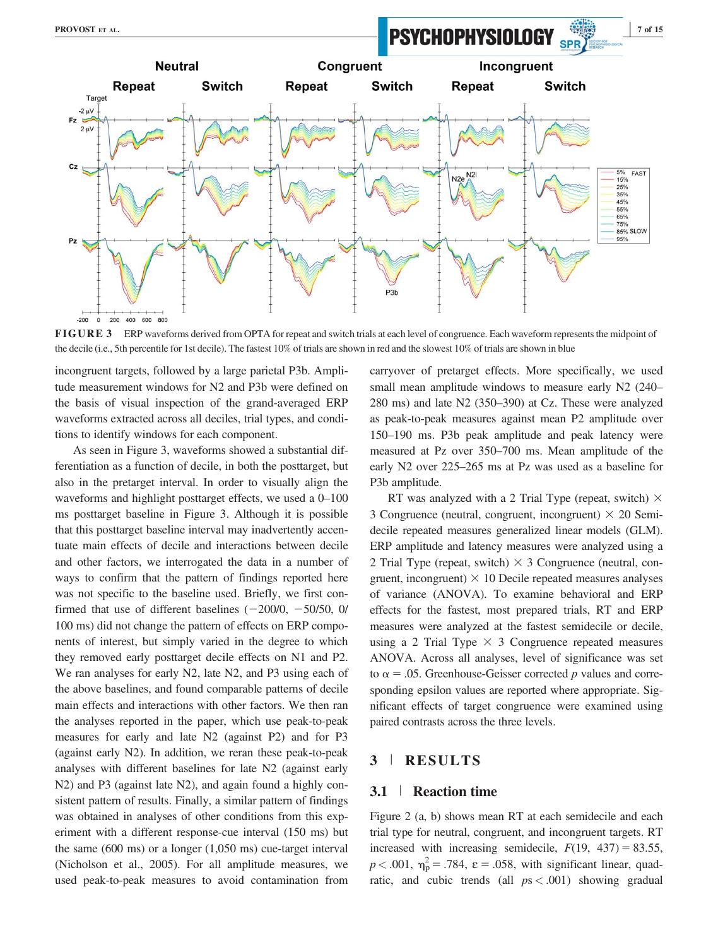

FIGURE 3 ERP waveforms derived from OPTA for repeat and switch trials at each level of congruence. Each waveform represents the midpoint of the decile (i.e., 5th percentile for 1st decile). The fastest 10% of trials are shown in red and the slowest 10% of trials are shown in blue

incongruent targets, followed by a large parietal P3b. Amplitude measurement windows for N2 and P3b were defined on the basis of visual inspection of the grand-averaged ERP waveforms extracted across all deciles, trial types, and conditions to identify windows for each component.

As seen in Figure 3, waveforms showed a substantial differentiation as a function of decile, in both the posttarget, but also in the pretarget interval. In order to visually align the waveforms and highlight posttarget effects, we used a 0–100 ms posttarget baseline in Figure 3. Although it is possible that this posttarget baseline interval may inadvertently accentuate main effects of decile and interactions between decile and other factors, we interrogated the data in a number of ways to confirm that the pattern of findings reported here was not specific to the baseline used. Briefly, we first confirmed that use of different baselines  $(-200/0, -50/50, 0/$ 100 ms) did not change the pattern of effects on ERP components of interest, but simply varied in the degree to which they removed early posttarget decile effects on N1 and P2. We ran analyses for early N2, late N2, and P3 using each of the above baselines, and found comparable patterns of decile main effects and interactions with other factors. We then ran the analyses reported in the paper, which use peak-to-peak measures for early and late N2 (against P2) and for P3 (against early N2). In addition, we reran these peak-to-peak analyses with different baselines for late N2 (against early N2) and P3 (against late N2), and again found a highly consistent pattern of results. Finally, a similar pattern of findings was obtained in analyses of other conditions from this experiment with a different response-cue interval (150 ms) but the same (600 ms) or a longer (1,050 ms) cue-target interval (Nicholson et al., 2005). For all amplitude measures, we used peak-to-peak measures to avoid contamination from

carryover of pretarget effects. More specifically, we used small mean amplitude windows to measure early N2 (240– 280 ms) and late N2 (350–390) at Cz. These were analyzed as peak-to-peak measures against mean P2 amplitude over 150–190 ms. P3b peak amplitude and peak latency were measured at Pz over 350–700 ms. Mean amplitude of the early N2 over 225–265 ms at Pz was used as a baseline for P3b amplitude.

RT was analyzed with a 2 Trial Type (repeat, switch)  $\times$ 3 Congruence (neutral, congruent, incongruent)  $\times$  20 Semidecile repeated measures generalized linear models (GLM). ERP amplitude and latency measures were analyzed using a 2 Trial Type (repeat, switch)  $\times$  3 Congruence (neutral, congruent, incongruent)  $\times$  10 Decile repeated measures analyses of variance (ANOVA). To examine behavioral and ERP effects for the fastest, most prepared trials, RT and ERP measures were analyzed at the fastest semidecile or decile, using a 2 Trial Type  $\times$  3 Congruence repeated measures ANOVA. Across all analyses, level of significance was set to  $\alpha = .05$ . Greenhouse-Geisser corrected p values and corresponding epsilon values are reported where appropriate. Significant effects of target congruence were examined using paired contrasts across the three levels.

## 3 <sup>|</sup> RESULTS

### 3.1 <sup>|</sup> Reaction time

Figure 2 (a, b) shows mean RT at each semidecile and each trial type for neutral, congruent, and incongruent targets. RT increased with increasing semidecile,  $F(19, 437) = 83.55$ ,  $p < .001$ ,  $\eta_p^2 = .784$ ,  $\varepsilon = .058$ , with significant linear, quadratic, and cubic trends (all  $ps < .001$ ) showing gradual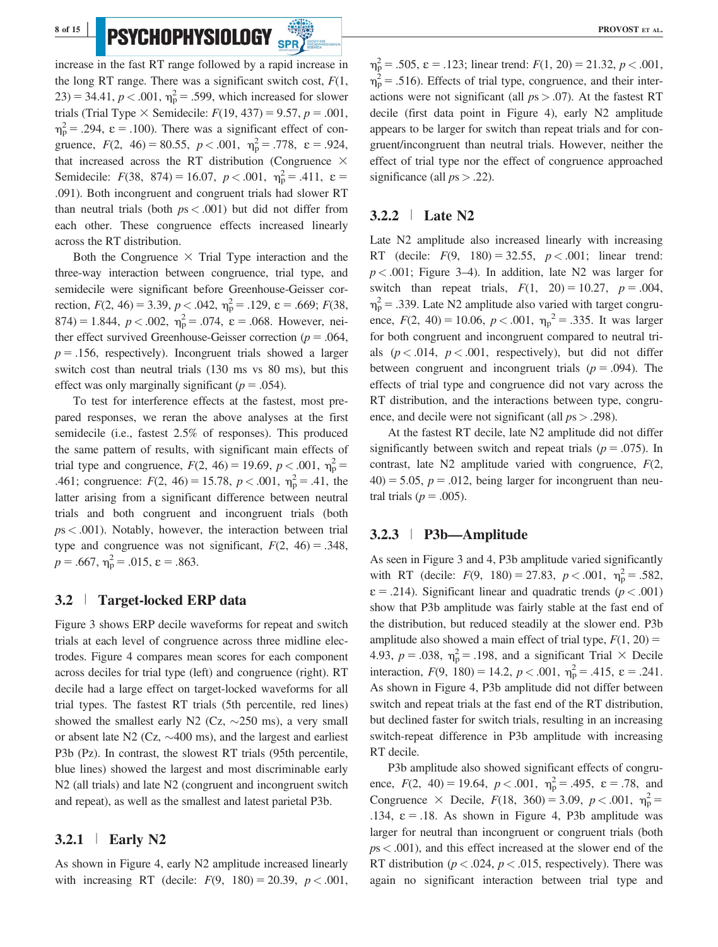# **PSYCHOPHYSIOLOGY** SPR EXECUTE: AL.

increase in the fast RT range followed by a rapid increase in the long RT range. There was a significant switch cost,  $F(1, 1)$ 23) = 34.41,  $p < .001$ ,  $\eta_p^2 = .599$ , which increased for slower trials (Trial Type  $\times$  Semidecile:  $F(19, 437) = 9.57$ ,  $p = .001$ ,  $m_p^2 = .294$ ,  $\varepsilon = .100$ ). There was a significant effect of congruence,  $F(2, 46) = 80.55$ ,  $p < .001$ ,  $\eta_p^2 = .778$ ,  $\varepsilon = .924$ , that increased across the RT distribution (Congruence  $\times$ Semidecile:  $F(38, 874) = 16.07, p < .001, \eta_p^2 = .411, \varepsilon =$ .091). Both incongruent and congruent trials had slower RT than neutral trials (both  $ps < .001$ ) but did not differ from each other. These congruence effects increased linearly across the RT distribution.

Both the Congruence  $\times$  Trial Type interaction and the three-way interaction between congruence, trial type, and semidecile were significant before Greenhouse-Geisser correction,  $F(2, 46) = 3.39, p < .042, \eta_{\rm p}^2 = .129, \varepsilon = .669; F(38,$ 874) = 1.844,  $p < .002$ ,  $\eta_p^2 = .074$ ,  $\varepsilon = .068$ . However, neither effect survived Greenhouse-Geisser correction ( $p = .064$ ,  $p = .156$ , respectively). Incongruent trials showed a larger switch cost than neutral trials (130 ms vs 80 ms), but this effect was only marginally significant ( $p = .054$ ).

To test for interference effects at the fastest, most prepared responses, we reran the above analyses at the first semidecile (i.e., fastest 2.5% of responses). This produced the same pattern of results, with significant main effects of trial type and congruence,  $F(2, 46) = 19.69$ ,  $p < .001$ ,  $\eta_p^2 =$ .461; congruence:  $F(2, 46) = 15.78$ ,  $p < .001$ ,  $\eta_p^2 = .41$ , the latter arising from a significant difference between neutral trials and both congruent and incongruent trials (both  $ps < .001$ ). Notably, however, the interaction between trial type and congruence was not significant,  $F(2, 46) = .348$ ,  $p = .667$ ,  $\eta_p^2 = .015$ ,  $\varepsilon = .863$ .

### 3.2 <sup>|</sup> Target-locked ERP data

Figure 3 shows ERP decile waveforms for repeat and switch trials at each level of congruence across three midline electrodes. Figure 4 compares mean scores for each component across deciles for trial type (left) and congruence (right). RT decile had a large effect on target-locked waveforms for all trial types. The fastest RT trials (5th percentile, red lines) showed the smallest early N2 (Cz,  $\sim$ 250 ms), a very small or absent late N2 (Cz,  $\sim$  400 ms), and the largest and earliest P3b (Pz). In contrast, the slowest RT trials (95th percentile, blue lines) showed the largest and most discriminable early N2 (all trials) and late N2 (congruent and incongruent switch and repeat), as well as the smallest and latest parietal P3b.

### 3.2.1 <sup>|</sup> Early N2

As shown in Figure 4, early N2 amplitude increased linearly with increasing RT (decile:  $F(9, 180) = 20.39, p < .001,$ 

 $m_p^2 = .505$ ,  $\varepsilon = .123$ ; linear trend:  $F(1, 20) = 21.32$ ,  $p < .001$ ,  $m_{\rm p}^2$  = .516). Effects of trial type, congruence, and their interactions were not significant (all  $ps > .07$ ). At the fastest RT decile (first data point in Figure 4), early N2 amplitude appears to be larger for switch than repeat trials and for congruent/incongruent than neutral trials. However, neither the effect of trial type nor the effect of congruence approached significance (all  $ps > .22$ ).

### 3.2.2 <sup>|</sup> Late N2

Late N2 amplitude also increased linearly with increasing RT (decile:  $F(9, 180) = 32.55, p < .001$ ; linear trend:  $p < .001$ ; Figure 3–4). In addition, late N2 was larger for switch than repeat trials,  $F(1, 20) = 10.27$ ,  $p = .004$ ,  $m_p^2$  = .339. Late N2 amplitude also varied with target congruence,  $F(2, 40) = 10.06$ ,  $p < .001$ ,  $\eta_p^2 = .335$ . It was larger for both congruent and incongruent compared to neutral trials  $(p < .014, p < .001$ , respectively), but did not differ between congruent and incongruent trials ( $p = .094$ ). The effects of trial type and congruence did not vary across the RT distribution, and the interactions between type, congruence, and decile were not significant (all  $ps > .298$ ).

At the fastest RT decile, late N2 amplitude did not differ significantly between switch and repeat trials ( $p = .075$ ). In contrast, late N2 amplitude varied with congruence,  $F(2)$ ,  $40$ ) = 5.05,  $p = .012$ , being larger for incongruent than neutral trials ( $p = .005$ ).

### 3.2.3 <sup>|</sup> P3b—Amplitude

As seen in Figure 3 and 4, P3b amplitude varied significantly with RT (decile:  $F(9, 180) = 27.83, p < .001, \eta_p^2 = .582,$  $\varepsilon$  = .214). Significant linear and quadratic trends ( $p < .001$ ) show that P3b amplitude was fairly stable at the fast end of the distribution, but reduced steadily at the slower end. P3b amplitude also showed a main effect of trial type,  $F(1, 20) =$ 4.93,  $p = .038$ ,  $\eta_p^2 = .198$ , and a significant Trial  $\times$  Decile interaction,  $F(9, 180) = 14.2$ ,  $p < .001$ ,  $\eta_p^2 = .415$ ,  $\varepsilon = .241$ . As shown in Figure 4, P3b amplitude did not differ between switch and repeat trials at the fast end of the RT distribution, but declined faster for switch trials, resulting in an increasing switch-repeat difference in P3b amplitude with increasing RT decile.

P3b amplitude also showed significant effects of congruence,  $F(2, 40) = 19.64$ ,  $p < .001$ ,  $\eta_p^2 = .495$ ,  $\varepsilon = .78$ , and Congruence  $\times$  Decile,  $F(18, 360) = 3.09$ ,  $p < .001$ ,  $\eta_p^2 =$ .134,  $\varepsilon = .18$ . As shown in Figure 4, P3b amplitude was larger for neutral than incongruent or congruent trials (both  $ps < .001$ ), and this effect increased at the slower end of the RT distribution ( $p < .024$ ,  $p < .015$ , respectively). There was again no significant interaction between trial type and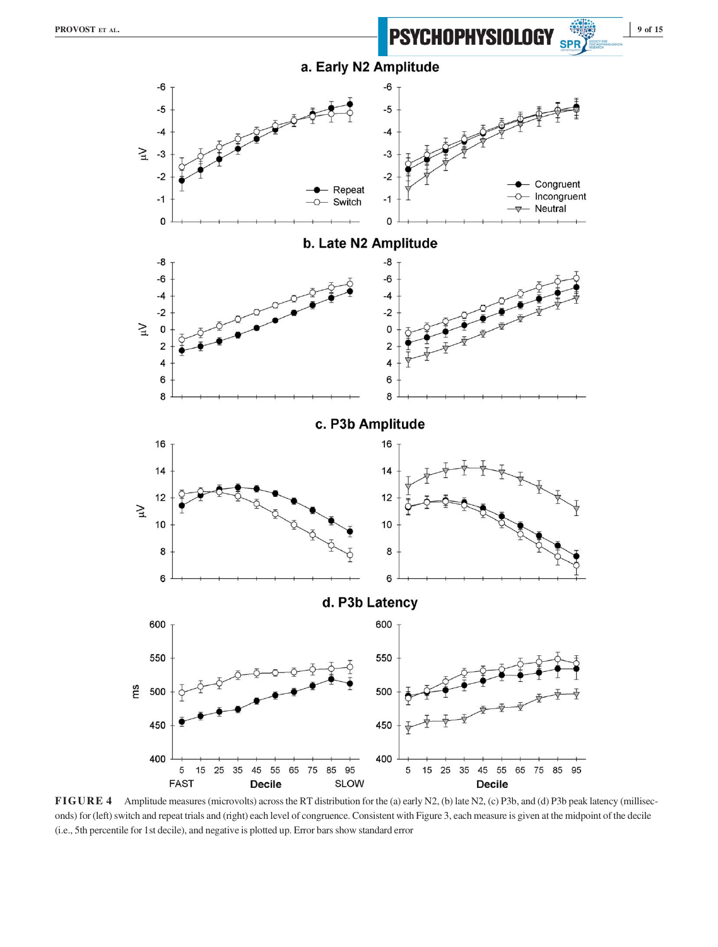

FIGURE 4 Amplitude measures (microvolts) across the RT distribution for the (a) early N2, (b) late N2, (c) P3b, and (d) P3b peak latency (milliseconds) for (left) switch and repeat trials and (right) each level of congruence. Consistent with Figure 3, each measure is given at the midpoint of the decile (i.e., 5th percentile for 1st decile), and negative is plotted up. Error bars show standard error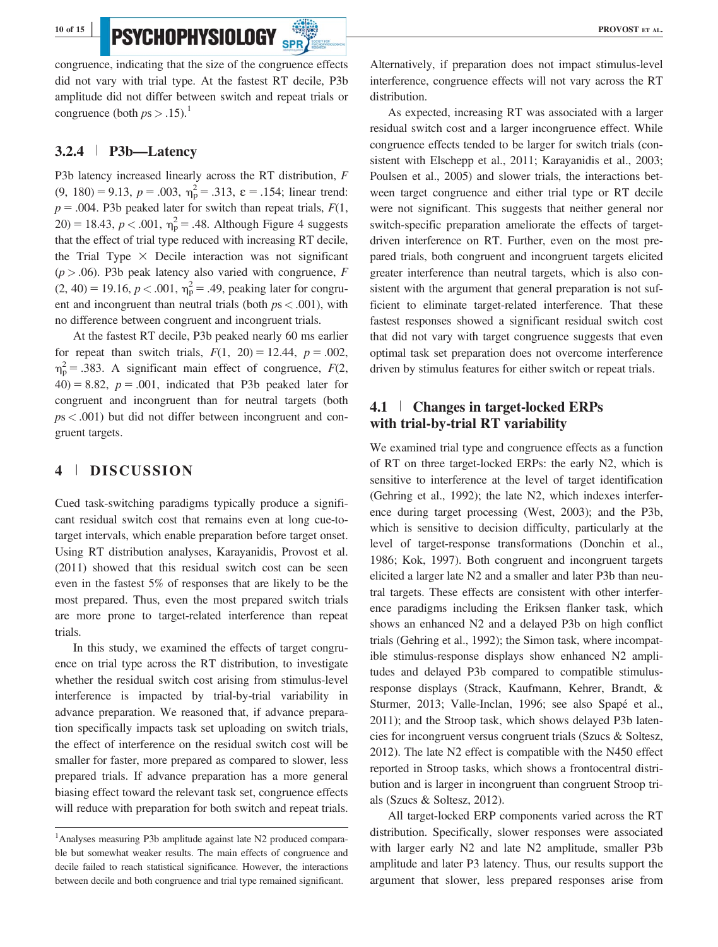# $10 \text{ of } 15$  PSYCHOPHYSIOLOGY  $\frac{10 \text{ of } 15}{SPR}$  PROVOST ET AL.

congruence, indicating that the size of the congruence effects did not vary with trial type. At the fastest RT decile, P3b amplitude did not differ between switch and repeat trials or congruence (both  $ps > .15$ ).<sup>1</sup>

### 3.2.4 <sup>|</sup> P3b—Latency

P3b latency increased linearly across the RT distribution, F  $(9, 180) = 9.13$ ,  $p = .003$ ,  $\eta_p^2 = .313$ ,  $\varepsilon = .154$ ; linear trend:  $p = .004$ . P3b peaked later for switch than repeat trials,  $F(1, 1)$  $20$ ) = 18.43,  $p < .001$ ,  $\eta_p^2 = .48$ . Although Figure 4 suggests that the effect of trial type reduced with increasing RT decile, the Trial Type  $\times$  Decile interaction was not significant  $(p > .06)$ . P3b peak latency also varied with congruence, F  $(2, 40) = 19.16, p < .001, \eta_{\rm p}^2 = .49$ , peaking later for congruent and incongruent than neutral trials (both  $ps < .001$ ), with no difference between congruent and incongruent trials.

At the fastest RT decile, P3b peaked nearly 60 ms earlier for repeat than switch trials,  $F(1, 20) = 12.44$ ,  $p = .002$ ,  $\eta_{\rm p}^2$  = .383. A significant main effect of congruence,  $F(2,$  $40 = 8.82$ ,  $p = .001$ , indicated that P3b peaked later for congruent and incongruent than for neutral targets (both  $ps < .001$ ) but did not differ between incongruent and congruent targets.

### 4 <sup>|</sup> DISCUSSION

Cued task-switching paradigms typically produce a significant residual switch cost that remains even at long cue-totarget intervals, which enable preparation before target onset. Using RT distribution analyses, Karayanidis, Provost et al. (2011) showed that this residual switch cost can be seen even in the fastest 5% of responses that are likely to be the most prepared. Thus, even the most prepared switch trials are more prone to target-related interference than repeat trials.

In this study, we examined the effects of target congruence on trial type across the RT distribution, to investigate whether the residual switch cost arising from stimulus-level interference is impacted by trial-by-trial variability in advance preparation. We reasoned that, if advance preparation specifically impacts task set uploading on switch trials, the effect of interference on the residual switch cost will be smaller for faster, more prepared as compared to slower, less prepared trials. If advance preparation has a more general biasing effect toward the relevant task set, congruence effects will reduce with preparation for both switch and repeat trials.

Alternatively, if preparation does not impact stimulus-level interference, congruence effects will not vary across the RT distribution.

As expected, increasing RT was associated with a larger residual switch cost and a larger incongruence effect. While congruence effects tended to be larger for switch trials (consistent with Elschepp et al., 2011; Karayanidis et al., 2003; Poulsen et al., 2005) and slower trials, the interactions between target congruence and either trial type or RT decile were not significant. This suggests that neither general nor switch-specific preparation ameliorate the effects of targetdriven interference on RT. Further, even on the most prepared trials, both congruent and incongruent targets elicited greater interference than neutral targets, which is also consistent with the argument that general preparation is not sufficient to eliminate target-related interference. That these fastest responses showed a significant residual switch cost that did not vary with target congruence suggests that even optimal task set preparation does not overcome interference driven by stimulus features for either switch or repeat trials.

### 4.1 <sup>|</sup> Changes in target-locked ERPs with trial-by-trial RT variability

We examined trial type and congruence effects as a function of RT on three target-locked ERPs: the early N2, which is sensitive to interference at the level of target identification (Gehring et al., 1992); the late N2, which indexes interference during target processing (West, 2003); and the P3b, which is sensitive to decision difficulty, particularly at the level of target-response transformations (Donchin et al., 1986; Kok, 1997). Both congruent and incongruent targets elicited a larger late N2 and a smaller and later P3b than neutral targets. These effects are consistent with other interference paradigms including the Eriksen flanker task, which shows an enhanced N2 and a delayed P3b on high conflict trials (Gehring et al., 1992); the Simon task, where incompatible stimulus-response displays show enhanced N2 amplitudes and delayed P3b compared to compatible stimulusresponse displays (Strack, Kaufmann, Kehrer, Brandt, & Sturmer, 2013; Valle-Inclan, 1996; see also Spapé et al., 2011); and the Stroop task, which shows delayed P3b latencies for incongruent versus congruent trials (Szucs & Soltesz, 2012). The late N2 effect is compatible with the N450 effect reported in Stroop tasks, which shows a frontocentral distribution and is larger in incongruent than congruent Stroop trials (Szucs & Soltesz, 2012).

All target-locked ERP components varied across the RT distribution. Specifically, slower responses were associated with larger early N2 and late N2 amplitude, smaller P3b amplitude and later P3 latency. Thus, our results support the argument that slower, less prepared responses arise from

<sup>&</sup>lt;sup>1</sup>Analyses measuring P3b amplitude against late N2 produced comparable but somewhat weaker results. The main effects of congruence and decile failed to reach statistical significance. However, the interactions between decile and both congruence and trial type remained significant.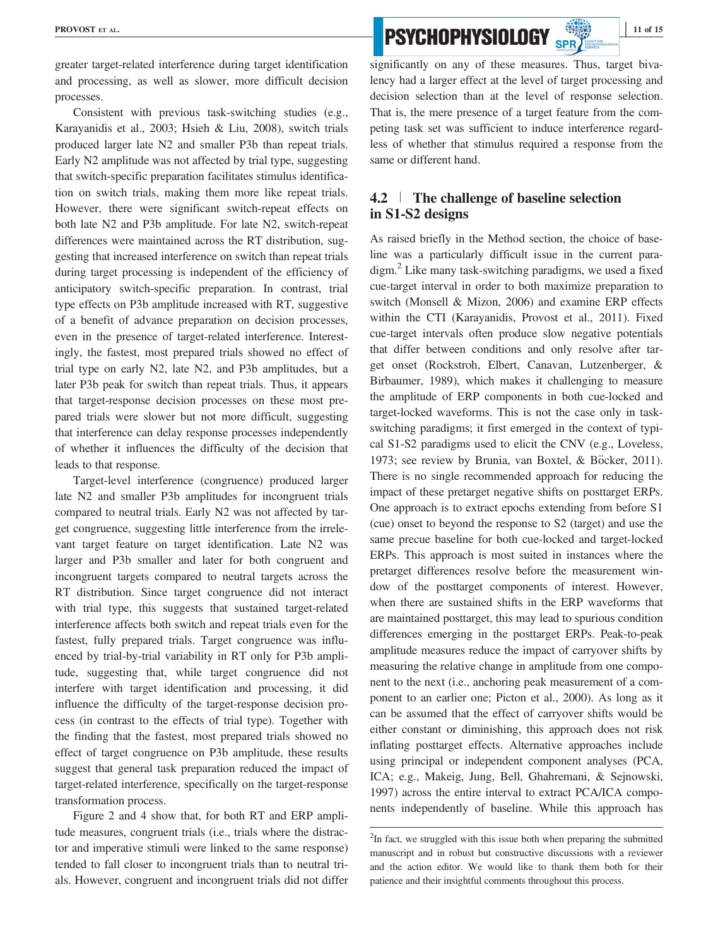greater target-related interference during target identification and processing, as well as slower, more difficult decision processes.

Consistent with previous task-switching studies (e.g., Karayanidis et al., 2003; Hsieh & Liu, 2008), switch trials produced larger late N2 and smaller P3b than repeat trials. Early N2 amplitude was not affected by trial type, suggesting that switch-specific preparation facilitates stimulus identification on switch trials, making them more like repeat trials. However, there were significant switch-repeat effects on both late N2 and P3b amplitude. For late N2, switch-repeat differences were maintained across the RT distribution, suggesting that increased interference on switch than repeat trials during target processing is independent of the efficiency of anticipatory switch-specific preparation. In contrast, trial type effects on P3b amplitude increased with RT, suggestive of a benefit of advance preparation on decision processes, even in the presence of target-related interference. Interestingly, the fastest, most prepared trials showed no effect of trial type on early N2, late N2, and P3b amplitudes, but a later P3b peak for switch than repeat trials. Thus, it appears that target-response decision processes on these most prepared trials were slower but not more difficult, suggesting that interference can delay response processes independently of whether it influences the difficulty of the decision that leads to that response.

Target-level interference (congruence) produced larger late N2 and smaller P3b amplitudes for incongruent trials compared to neutral trials. Early N2 was not affected by target congruence, suggesting little interference from the irrelevant target feature on target identification. Late N2 was larger and P3b smaller and later for both congruent and incongruent targets compared to neutral targets across the RT distribution. Since target congruence did not interact with trial type, this suggests that sustained target-related interference affects both switch and repeat trials even for the fastest, fully prepared trials. Target congruence was influenced by trial-by-trial variability in RT only for P3b amplitude, suggesting that, while target congruence did not interfere with target identification and processing, it did influence the difficulty of the target-response decision process (in contrast to the effects of trial type). Together with the finding that the fastest, most prepared trials showed no effect of target congruence on P3b amplitude, these results suggest that general task preparation reduced the impact of target-related interference, specifically on the target-response transformation process.

Figure 2 and 4 show that, for both RT and ERP amplitude measures, congruent trials (i.e., trials where the distractor and imperative stimuli were linked to the same response) tended to fall closer to incongruent trials than to neutral trials. However, congruent and incongruent trials did not differ

 $P\text{SVCHOPHYSIOLOGY} \xrightarrow{\text{PPC}} \frac{111 \text{ of } 15}{\text{SPR}}$ 

significantly on any of these measures. Thus, target bivalency had a larger effect at the level of target processing and decision selection than at the level of response selection. That is, the mere presence of a target feature from the competing task set was sufficient to induce interference regardless of whether that stimulus required a response from the same or different hand.

## 4.2 <sup>|</sup> The challenge of baseline selection in S1-S2 designs

As raised briefly in the Method section, the choice of baseline was a particularly difficult issue in the current paradigm.<sup>2</sup> Like many task-switching paradigms, we used a fixed cue-target interval in order to both maximize preparation to switch (Monsell & Mizon, 2006) and examine ERP effects within the CTI (Karayanidis, Provost et al., 2011). Fixed cue-target intervals often produce slow negative potentials that differ between conditions and only resolve after target onset (Rockstroh, Elbert, Canavan, Lutzenberger, & Birbaumer, 1989), which makes it challenging to measure the amplitude of ERP components in both cue-locked and target-locked waveforms. This is not the case only in taskswitching paradigms; it first emerged in the context of typical S1-S2 paradigms used to elicit the CNV (e.g., Loveless, 1973; see review by Brunia, van Boxtel, & Böcker, 2011). There is no single recommended approach for reducing the impact of these pretarget negative shifts on posttarget ERPs. One approach is to extract epochs extending from before S1 (cue) onset to beyond the response to S2 (target) and use the same precue baseline for both cue-locked and target-locked ERPs. This approach is most suited in instances where the pretarget differences resolve before the measurement window of the posttarget components of interest. However, when there are sustained shifts in the ERP waveforms that are maintained posttarget, this may lead to spurious condition differences emerging in the posttarget ERPs. Peak-to-peak amplitude measures reduce the impact of carryover shifts by measuring the relative change in amplitude from one component to the next (i.e., anchoring peak measurement of a component to an earlier one; Picton et al., 2000). As long as it can be assumed that the effect of carryover shifts would be either constant or diminishing, this approach does not risk inflating posttarget effects. Alternative approaches include using principal or independent component analyses (PCA, ICA; e.g., Makeig, Jung, Bell, Ghahremani, & Sejnowski, 1997) across the entire interval to extract PCA/ICA components independently of baseline. While this approach has

 $2$ In fact, we struggled with this issue both when preparing the submitted manuscript and in robust but constructive discussions with a reviewer and the action editor. We would like to thank them both for their patience and their insightful comments throughout this process.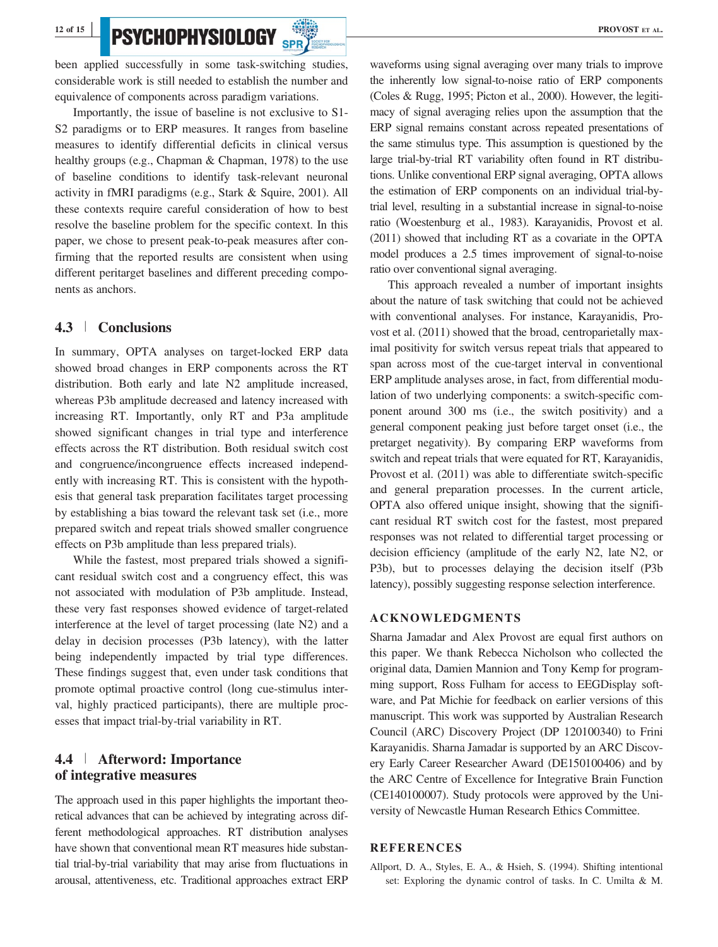## $12$  of 15 **PSYCHOPHYSIOLOGY** SPR  $\overline{SPR}$   $\overline{SPR}$   $\overline{SPR}$   $\overline{SPR}$   $\overline{SPR}$   $\overline{SPR}$   $\overline{SPR}$   $\overline{SPR}$   $\overline{SPR}$   $\overline{SPR}$   $\overline{SPR}$   $\overline{SPR}$   $\overline{SPR}$   $\overline{SPR}$   $\overline{SPR}$   $\overline{SPR}$   $\overline{SPR}$   $\overline{SPR}$   $\overline{SPR$

been applied successfully in some task-switching studies, considerable work is still needed to establish the number and equivalence of components across paradigm variations.

Importantly, the issue of baseline is not exclusive to S1- S2 paradigms or to ERP measures. It ranges from baseline measures to identify differential deficits in clinical versus healthy groups (e.g., Chapman & Chapman, 1978) to the use of baseline conditions to identify task-relevant neuronal activity in fMRI paradigms (e.g., Stark & Squire, 2001). All these contexts require careful consideration of how to best resolve the baseline problem for the specific context. In this paper, we chose to present peak-to-peak measures after confirming that the reported results are consistent when using different peritarget baselines and different preceding components as anchors.

### 4.3 <sup>|</sup> Conclusions

In summary, OPTA analyses on target-locked ERP data showed broad changes in ERP components across the RT distribution. Both early and late N2 amplitude increased, whereas P3b amplitude decreased and latency increased with increasing RT. Importantly, only RT and P3a amplitude showed significant changes in trial type and interference effects across the RT distribution. Both residual switch cost and congruence/incongruence effects increased independently with increasing RT. This is consistent with the hypothesis that general task preparation facilitates target processing by establishing a bias toward the relevant task set (i.e., more prepared switch and repeat trials showed smaller congruence effects on P3b amplitude than less prepared trials).

While the fastest, most prepared trials showed a significant residual switch cost and a congruency effect, this was not associated with modulation of P3b amplitude. Instead, these very fast responses showed evidence of target-related interference at the level of target processing (late N2) and a delay in decision processes (P3b latency), with the latter being independently impacted by trial type differences. These findings suggest that, even under task conditions that promote optimal proactive control (long cue-stimulus interval, highly practiced participants), there are multiple processes that impact trial-by-trial variability in RT.

## 4.4 <sup>|</sup> Afterword: Importance of integrative measures

The approach used in this paper highlights the important theoretical advances that can be achieved by integrating across different methodological approaches. RT distribution analyses have shown that conventional mean RT measures hide substantial trial-by-trial variability that may arise from fluctuations in arousal, attentiveness, etc. Traditional approaches extract ERP

waveforms using signal averaging over many trials to improve the inherently low signal-to-noise ratio of ERP components (Coles & Rugg, 1995; Picton et al., 2000). However, the legitimacy of signal averaging relies upon the assumption that the ERP signal remains constant across repeated presentations of the same stimulus type. This assumption is questioned by the large trial-by-trial RT variability often found in RT distributions. Unlike conventional ERP signal averaging, OPTA allows the estimation of ERP components on an individual trial-bytrial level, resulting in a substantial increase in signal-to-noise ratio (Woestenburg et al., 1983). Karayanidis, Provost et al. (2011) showed that including RT as a covariate in the OPTA model produces a 2.5 times improvement of signal-to-noise ratio over conventional signal averaging.

This approach revealed a number of important insights about the nature of task switching that could not be achieved with conventional analyses. For instance, Karayanidis, Provost et al. (2011) showed that the broad, centroparietally maximal positivity for switch versus repeat trials that appeared to span across most of the cue-target interval in conventional ERP amplitude analyses arose, in fact, from differential modulation of two underlying components: a switch-specific component around 300 ms (i.e., the switch positivity) and a general component peaking just before target onset (i.e., the pretarget negativity). By comparing ERP waveforms from switch and repeat trials that were equated for RT, Karayanidis, Provost et al. (2011) was able to differentiate switch-specific and general preparation processes. In the current article, OPTA also offered unique insight, showing that the significant residual RT switch cost for the fastest, most prepared responses was not related to differential target processing or decision efficiency (amplitude of the early N2, late N2, or P3b), but to processes delaying the decision itself (P3b latency), possibly suggesting response selection interference.

### ACKNOWLEDGMENTS

Sharna Jamadar and Alex Provost are equal first authors on this paper. We thank Rebecca Nicholson who collected the original data, Damien Mannion and Tony Kemp for programming support, Ross Fulham for access to EEGDisplay software, and Pat Michie for feedback on earlier versions of this manuscript. This work was supported by Australian Research Council (ARC) Discovery Project (DP 120100340) to Frini Karayanidis. Sharna Jamadar is supported by an ARC Discovery Early Career Researcher Award (DE150100406) and by the ARC Centre of Excellence for Integrative Brain Function (CE140100007). Study protocols were approved by the University of Newcastle Human Research Ethics Committee.

### REFERENCES

Allport, D. A., Styles, E. A., & Hsieh, S. (1994). Shifting intentional set: Exploring the dynamic control of tasks. In C. Umilta & M.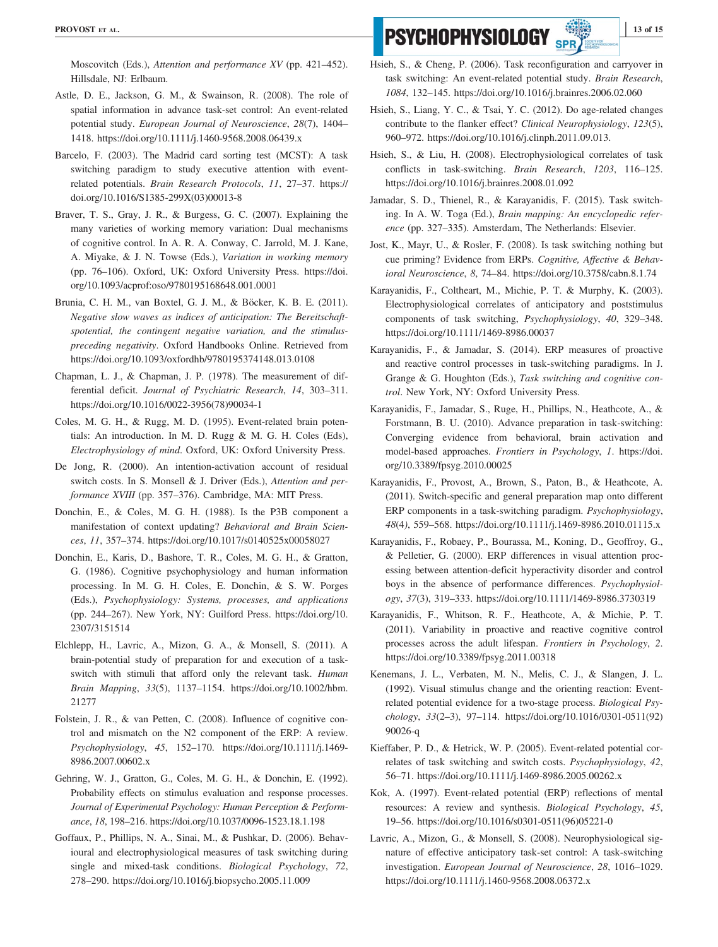Moscovitch (Eds.), Attention and performance XV (pp. 421–452). Hillsdale, NJ: Erlbaum.

- Astle, D. E., Jackson, G. M., & Swainson, R. (2008). The role of spatial information in advance task-set control: An event-related potential study. European Journal of Neuroscience, 28(7), 1404– 1418.<https://doi.org/10.1111/j.1460-9568.2008.06439.x>
- Barcelo, F. (2003). The Madrid card sorting test (MCST): A task switching paradigm to study executive attention with eventrelated potentials. Brain Research Protocols, 11, 27–37. [https://](https://doi.org/10.1016/S1385-299X(03)00013-8) [doi.org/10.1016/S1385-299X\(03\)00013-8](https://doi.org/10.1016/S1385-299X(03)00013-8)
- Braver, T. S., Gray, J. R., & Burgess, G. C. (2007). Explaining the many varieties of working memory variation: Dual mechanisms of cognitive control. In A. R. A. Conway, C. Jarrold, M. J. Kane, A. Miyake, & J. N. Towse (Eds.), Variation in working memory (pp. 76–106). Oxford, UK: Oxford University Press. [https://doi.](https://doi.org/10.1093/acprof:oso/9780195168648.001.0001) [org/10.1093/acprof:oso/9780195168648.001.0001](https://doi.org/10.1093/acprof:oso/9780195168648.001.0001)
- Brunia, C. H. M., van Boxtel, G. J. M., & Böcker, K. B. E. (2011). Negative slow waves as indices of anticipation: The Bereitschaftspotential, the contingent negative variation, and the stimuluspreceding negativity. Oxford Handbooks Online. Retrieved from <https://doi.org/10.1093/oxfordhb/9780195374148.013.0108>
- Chapman, L. J., & Chapman, J. P. (1978). The measurement of differential deficit. Journal of Psychiatric Research, 14, 303–311. [https://doi.org/10.1016/0022-3956\(78\)90034-1](https://doi.org/10.1016/0022-3956(78)90034-1)
- Coles, M. G. H., & Rugg, M. D. (1995). Event-related brain potentials: An introduction. In M. D. Rugg & M. G. H. Coles (Eds), Electrophysiology of mind. Oxford, UK: Oxford University Press.
- De Jong, R. (2000). An intention-activation account of residual switch costs. In S. Monsell & J. Driver (Eds.), Attention and performance XVIII (pp. 357-376). Cambridge, MA: MIT Press.
- Donchin, E., & Coles, M. G. H. (1988). Is the P3B component a manifestation of context updating? Behavioral and Brain Sciences, 11, 357–374.<https://doi.org/10.1017/s0140525x00058027>
- Donchin, E., Karis, D., Bashore, T. R., Coles, M. G. H., & Gratton, G. (1986). Cognitive psychophysiology and human information processing. In M. G. H. Coles, E. Donchin, & S. W. Porges (Eds.), Psychophysiology: Systems, processes, and applications (pp. 244–267). New York, NY: Guilford Press. [https://doi.org/10.](https://doi.org/10.2307/3151514) [2307/3151514](https://doi.org/10.2307/3151514)
- Elchlepp, H., Lavric, A., Mizon, G. A., & Monsell, S. (2011). A brain-potential study of preparation for and execution of a taskswitch with stimuli that afford only the relevant task. Human Brain Mapping, 33(5), 1137–1154. [https://doi.org/10.1002/hbm.](https://doi.org/10.1002/hbm.21277) [21277](https://doi.org/10.1002/hbm.21277)
- Folstein, J. R., & van Petten, C. (2008). Influence of cognitive control and mismatch on the N2 component of the ERP: A review. Psychophysiology, 45, 152–170. [https://doi.org/10.1111/j.1469-](https://doi.org/10.1111/j.1469-8986.2007.00602.x) [8986.2007.00602.x](https://doi.org/10.1111/j.1469-8986.2007.00602.x)
- Gehring, W. J., Gratton, G., Coles, M. G. H., & Donchin, E. (1992). Probability effects on stimulus evaluation and response processes. Journal of Experimental Psychology: Human Perception & Performance, 18, 198–216.<https://doi.org/10.1037/0096-1523.18.1.198>
- Goffaux, P., Phillips, N. A., Sinai, M., & Pushkar, D. (2006). Behavioural and electrophysiological measures of task switching during single and mixed-task conditions. Biological Psychology, 72, 278–290.<https://doi.org/10.1016/j.biopsycho.2005.11.009>

## $P\text{SVCHOPHYSIOLOGY} \xrightarrow{\text{PPC} \xrightarrow{\text{SPR}} 13 \text{ of } 15} 13 \text{ of } 15$

- Hsieh, S., & Cheng, P. (2006). Task reconfiguration and carryover in task switching: An event-related potential study. Brain Research, 1084, 132–145.<https://doi.org/10.1016/j.brainres.2006.02.060>
- Hsieh, S., Liang, Y. C., & Tsai, Y. C. (2012). Do age-related changes contribute to the flanker effect? Clinical Neurophysiology, 123(5), 960–972.<https://doi.org/10.1016/j.clinph.2011.09.013>.
- Hsieh, S., & Liu, H. (2008). Electrophysiological correlates of task conflicts in task-switching. Brain Research, 1203, 116–125. <https://doi.org/10.1016/j.brainres.2008.01.092>
- Jamadar, S. D., Thienel, R., & Karayanidis, F. (2015). Task switching. In A. W. Toga (Ed.), Brain mapping: An encyclopedic reference (pp. 327–335). Amsterdam, The Netherlands: Elsevier.
- Jost, K., Mayr, U., & Rosler, F. (2008). Is task switching nothing but cue priming? Evidence from ERPs. Cognitive, Affective & Behavioral Neuroscience, 8, 74–84.<https://doi.org/10.3758/cabn.8.1.74>
- Karayanidis, F., Coltheart, M., Michie, P. T. & Murphy, K. (2003). Electrophysiological correlates of anticipatory and poststimulus components of task switching, Psychophysiology, 40, 329–348. <https://doi.org/10.1111/1469-8986.00037>
- Karayanidis, F., & Jamadar, S. (2014). ERP measures of proactive and reactive control processes in task-switching paradigms. In J. Grange & G. Houghton (Eds.), Task switching and cognitive control. New York, NY: Oxford University Press.
- Karayanidis, F., Jamadar, S., Ruge, H., Phillips, N., Heathcote, A., & Forstmann, B. U. (2010). Advance preparation in task-switching: Converging evidence from behavioral, brain activation and model-based approaches. Frontiers in Psychology, 1. [https://doi.](https://doi.org/10.3389/fpsyg.2010.00025) [org/10.3389/fpsyg.2010.00025](https://doi.org/10.3389/fpsyg.2010.00025)
- Karayanidis, F., Provost, A., Brown, S., Paton, B., & Heathcote, A. (2011). Switch-specific and general preparation map onto different ERP components in a task-switching paradigm. Psychophysiology, 48(4), 559–568.<https://doi.org/10.1111/j.1469-8986.2010.01115.x>
- Karayanidis, F., Robaey, P., Bourassa, M., Koning, D., Geoffroy, G., & Pelletier, G. (2000). ERP differences in visual attention processing between attention-deficit hyperactivity disorder and control boys in the absence of performance differences. Psychophysiology, 37(3), 319–333.<https://doi.org/10.1111/1469-8986.3730319>
- Karayanidis, F., Whitson, R. F., Heathcote, A, & Michie, P. T. (2011). Variability in proactive and reactive cognitive control processes across the adult lifespan. Frontiers in Psychology, 2. <https://doi.org/10.3389/fpsyg.2011.00318>
- Kenemans, J. L., Verbaten, M. N., Melis, C. J., & Slangen, J. L. (1992). Visual stimulus change and the orienting reaction: Eventrelated potential evidence for a two-stage process. Biological Psychology, 33(2–3), 97–114. [https://doi.org/10.1016/0301-0511\(92\)](https://doi.org/10.1016/0301-0511(92)90026-q) [90026-q](https://doi.org/10.1016/0301-0511(92)90026-q)
- Kieffaber, P. D., & Hetrick, W. P. (2005). Event-related potential correlates of task switching and switch costs. Psychophysiology, 42, 56–71.<https://doi.org/10.1111/j.1469-8986.2005.00262.x>
- Kok, A. (1997). Event-related potential (ERP) reflections of mental resources: A review and synthesis. Biological Psychology, 45, 19–56. [https://doi.org/10.1016/s0301-0511\(96\)05221-0](https://doi.org/10.1016/s0301-0511(96)05221-0)
- Lavric, A., Mizon, G., & Monsell, S. (2008). Neurophysiological signature of effective anticipatory task-set control: A task-switching investigation. European Journal of Neuroscience, 28, 1016–1029. <https://doi.org/10.1111/j.1460-9568.2008.06372.x>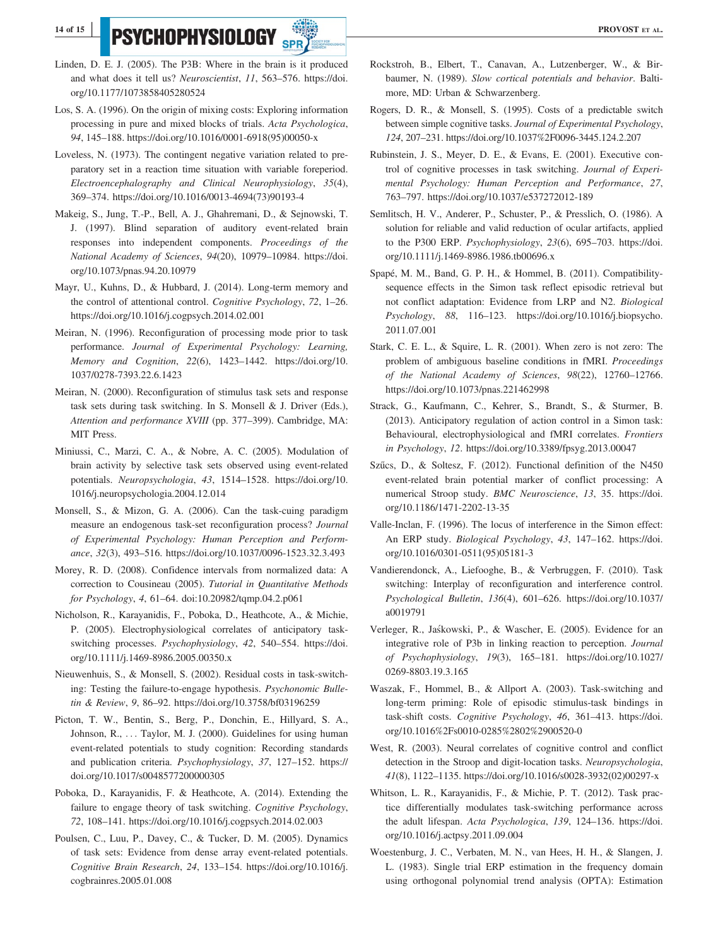# $14$  of 15 **PSYCHOPHYSIOLOGY** SPR  $\overline{\text{SPR}}$  **PSYCHOPHYSIOLOGY**

- Linden, D. E. J. (2005). The P3B: Where in the brain is it produced and what does it tell us? Neuroscientist, 11, 563–576. [https://doi.](https://doi.org/10.1177/1073858405280524) [org/10.1177/1073858405280524](https://doi.org/10.1177/1073858405280524)
- Los, S. A. (1996). On the origin of mixing costs: Exploring information processing in pure and mixed blocks of trials. Acta Psychologica, 94, 145–188. [https://doi.org/10.1016/0001-6918\(95\)00050-x](https://doi.org/10.1016/0001-6918(95)00050-x)
- Loveless, N. (1973). The contingent negative variation related to preparatory set in a reaction time situation with variable foreperiod. Electroencephalography and Clinical Neurophysiology, 35(4), 369–374. [https://doi.org/10.1016/0013-4694\(73\)90193-4](https://doi.org/10.1016/0013-4694(73)90193-4)
- Makeig, S., Jung, T.-P., Bell, A. J., Ghahremani, D., & Sejnowski, T. J. (1997). Blind separation of auditory event-related brain responses into independent components. Proceedings of the National Academy of Sciences, 94(20), 10979–10984. [https://doi.](https://doi.org/10.1073/pnas.94.20.10979) [org/10.1073/pnas.94.20.10979](https://doi.org/10.1073/pnas.94.20.10979)
- Mayr, U., Kuhns, D., & Hubbard, J. (2014). Long-term memory and the control of attentional control. Cognitive Psychology, 72, 1–26. <https://doi.org/10.1016/j.cogpsych.2014.02.001>
- Meiran, N. (1996). Reconfiguration of processing mode prior to task performance. Journal of Experimental Psychology: Learning, Memory and Cognition, 22(6), 1423–1442. [https://doi.org/10.](https://doi.org/10.1037/0278-7393.22.6.1423) [1037/0278-7393.22.6.1423](https://doi.org/10.1037/0278-7393.22.6.1423)
- Meiran, N. (2000). Reconfiguration of stimulus task sets and response task sets during task switching. In S. Monsell & J. Driver (Eds.), Attention and performance XVIII (pp. 377–399). Cambridge, MA: MIT Press.
- Miniussi, C., Marzi, C. A., & Nobre, A. C. (2005). Modulation of brain activity by selective task sets observed using event-related potentials. Neuropsychologia, 43, 1514–1528. [https://doi.org/10.](https://doi.org/10.1016/j.neuropsychologia.2004.12.014) [1016/j.neuropsychologia.2004.12.014](https://doi.org/10.1016/j.neuropsychologia.2004.12.014)
- Monsell, S., & Mizon, G. A. (2006). Can the task-cuing paradigm measure an endogenous task-set reconfiguration process? Journal of Experimental Psychology: Human Perception and Performance, 32(3), 493–516.<https://doi.org/10.1037/0096-1523.32.3.493>
- Morey, R. D. (2008). Confidence intervals from normalized data: A correction to Cousineau (2005). Tutorial in Quantitative Methods for Psychology, 4, 61–64. doi[:10.20982/tqmp.04.2.p061](info:doi/10.20982/tqmp.04.2.p061)
- Nicholson, R., Karayanidis, F., Poboka, D., Heathcote, A., & Michie, P. (2005). Electrophysiological correlates of anticipatory taskswitching processes. Psychophysiology, 42, 540–554. [https://doi.](https://doi.org/10.1111/j.1469-8986.2005.00350.x) [org/10.1111/j.1469-8986.2005.00350.x](https://doi.org/10.1111/j.1469-8986.2005.00350.x)
- Nieuwenhuis, S., & Monsell, S. (2002). Residual costs in task-switching: Testing the failure-to-engage hypothesis. Psychonomic Bulletin & Review, 9, 86–92.<https://doi.org/10.3758/bf03196259>
- Picton, T. W., Bentin, S., Berg, P., Donchin, E., Hillyard, S. A., Johnson, R., ... Taylor, M. J. (2000). Guidelines for using human event-related potentials to study cognition: Recording standards and publication criteria. Psychophysiology, 37, 127–152. [https://](https://doi.org/10.1017/s0048577200000305) [doi.org/10.1017/s0048577200000305](https://doi.org/10.1017/s0048577200000305)
- Poboka, D., Karayanidis, F. & Heathcote, A. (2014). Extending the failure to engage theory of task switching. Cognitive Psychology, 72, 108–141.<https://doi.org/10.1016/j.cogpsych.2014.02.003>
- Poulsen, C., Luu, P., Davey, C., & Tucker, D. M. (2005). Dynamics of task sets: Evidence from dense array event-related potentials. Cognitive Brain Research, 24, 133–154. [https://doi.org/10.1016/j.](https://doi.org/10.1016/j.cogbrainres.2005.01.008) [cogbrainres.2005.01.008](https://doi.org/10.1016/j.cogbrainres.2005.01.008)
- Rockstroh, B., Elbert, T., Canavan, A., Lutzenberger, W., & Birbaumer, N. (1989). Slow cortical potentials and behavior. Baltimore, MD: Urban & Schwarzenberg.
- Rogers, D. R., & Monsell, S. (1995). Costs of a predictable switch between simple cognitive tasks. Journal of Experimental Psychology, 124, 207–231.<https://doi.org/10.1037%2F0096-3445.124.2.207>
- Rubinstein, J. S., Meyer, D. E., & Evans, E. (2001). Executive control of cognitive processes in task switching. Journal of Experimental Psychology: Human Perception and Performance, 27, 763–797.<https://doi.org/10.1037/e537272012-189>
- Semlitsch, H. V., Anderer, P., Schuster, P., & Presslich, O. (1986). A solution for reliable and valid reduction of ocular artifacts, applied to the P300 ERP. Psychophysiology, 23(6), 695–703. [https://doi.](https://doi.org/10.1111/j.1469-8986.1986.tb00696.x) [org/10.1111/j.1469-8986.1986.tb00696.x](https://doi.org/10.1111/j.1469-8986.1986.tb00696.x)
- Spape, M. M., Band, G. P. H., & Hommel, B. (2011). Compatibilitysequence effects in the Simon task reflect episodic retrieval but not conflict adaptation: Evidence from LRP and N2. Biological Psychology, 88, 116–123. [https://doi.org/10.1016/j.biopsycho.](https://doi.org/10.1016/j.biopsycho.2011.07.001) [2011.07.001](https://doi.org/10.1016/j.biopsycho.2011.07.001)
- Stark, C. E. L., & Squire, L. R. (2001). When zero is not zero: The problem of ambiguous baseline conditions in fMRI. Proceedings of the National Academy of Sciences, 98(22), 12760–12766. <https://doi.org/10.1073/pnas.221462998>
- Strack, G., Kaufmann, C., Kehrer, S., Brandt, S., & Sturmer, B. (2013). Anticipatory regulation of action control in a Simon task: Behavioural, electrophysiological and fMRI correlates. Frontiers in Psychology, 12.<https://doi.org/10.3389/fpsyg.2013.00047>
- Szűcs, D., & Soltesz, F. (2012). Functional definition of the N450 event-related brain potential marker of conflict processing: A numerical Stroop study. BMC Neuroscience, 13, 35. [https://doi.](https://doi.org/10.1186/1471-2202-13-35) [org/10.1186/1471-2202-13-35](https://doi.org/10.1186/1471-2202-13-35)
- Valle-Inclan, F. (1996). The locus of interference in the Simon effect: An ERP study. Biological Psychology, 43, 147–162. [https://doi.](https://doi.org/10.1016/0301-0511(95)05181-3) [org/10.1016/0301-0511\(95\)05181-3](https://doi.org/10.1016/0301-0511(95)05181-3)
- Vandierendonck, A., Liefooghe, B., & Verbruggen, F. (2010). Task switching: Interplay of reconfiguration and interference control. Psychological Bulletin, 136(4), 601–626. [https://doi.org/10.1037/](https://doi.org/10.1037/a0019791) [a0019791](https://doi.org/10.1037/a0019791)
- Verleger, R., Jaskowski, P., & Wascher, E. (2005). Evidence for an integrative role of P3b in linking reaction to perception. Journal of Psychophysiology, 19(3), 165–181. [https://doi.org/10.1027/](https://doi.org/10.1027/0269-8803.19.3.165) [0269-8803.19.3.165](https://doi.org/10.1027/0269-8803.19.3.165)
- Waszak, F., Hommel, B., & Allport A. (2003). Task-switching and long-term priming: Role of episodic stimulus-task bindings in task-shift costs. Cognitive Psychology, 46, 361–413. [https://doi.](https://doi.org/10.1016%2Fs0010-0285%2802%2900520-0) [org/10.1016%2Fs0010-0285%2802%2900520-0](https://doi.org/10.1016%2Fs0010-0285%2802%2900520-0)
- West, R. (2003). Neural correlates of cognitive control and conflict detection in the Stroop and digit-location tasks. Neuropsychologia, 41(8), 1122–1135. [https://doi.org/10.1016/s0028-3932\(02\)00297-x](https://doi.org/10.1016/s0028-3932(02)00297-x)
- Whitson, L. R., Karayanidis, F., & Michie, P. T. (2012). Task practice differentially modulates task-switching performance across the adult lifespan. Acta Psychologica, 139, 124–136. [https://doi.](https://doi.org/10.1016/j.actpsy.2011.09.004) [org/10.1016/j.actpsy.2011.09.004](https://doi.org/10.1016/j.actpsy.2011.09.004)
- Woestenburg, J. C., Verbaten, M. N., van Hees, H. H., & Slangen, J. L. (1983). Single trial ERP estimation in the frequency domain using orthogonal polynomial trend analysis (OPTA): Estimation